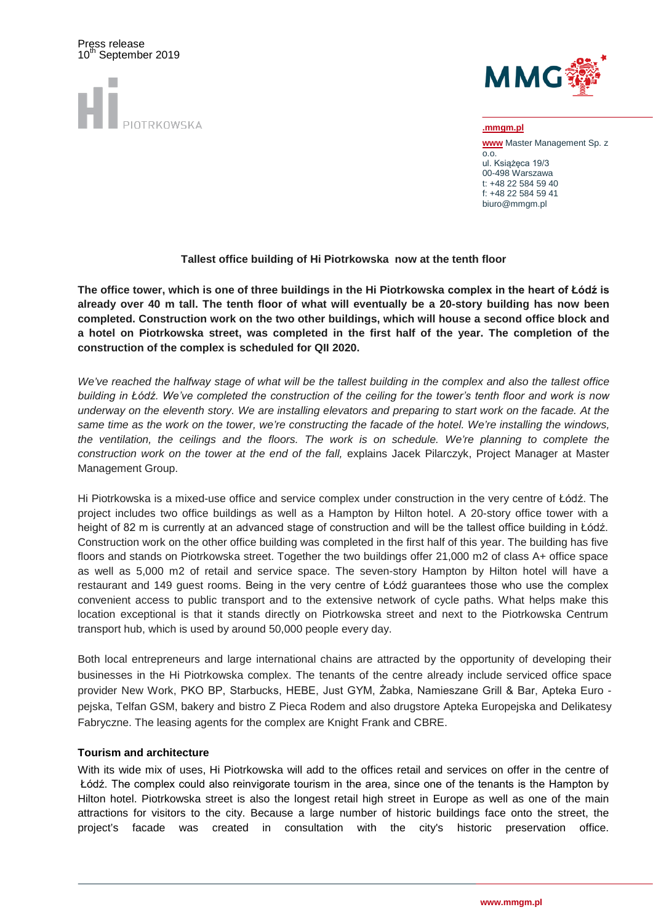

Press release



**.mmgm.pl www** Master Management Sp. z  $\overline{0.0}$ ul. Książęca 19/3 00-498 Warszawa t: +48 22 584 59 40 f: +48 22 584 59 41 biuro@mmgm.pl

## **Tallest office building of Hi Piotrkowska now at the tenth floor**

**The office tower, which is one of three buildings in the Hi Piotrkowska complex in the heart of Łódź is already over 40 m tall. The tenth floor of what will eventually be a 20-story building has now been completed. Construction work on the two other buildings, which will house a second office block and a hotel on Piotrkowska street, was completed in the first half of the year. The completion of the construction of the complex is scheduled for QII 2020.**

*We've reached the halfway stage of what will be the tallest building in the complex and also the tallest office building in Łódź. We've completed the construction of the ceiling for the tower's tenth floor and work is now underway on the eleventh story. We are installing elevators and preparing to start work on the facade. At the same time as the work on the tower, we're constructing the facade of the hotel. We're installing the windows, the ventilation, the ceilings and the floors. The work is on schedule. We're planning to complete the construction work on the tower at the end of the fall,* explains Jacek Pilarczyk, Project Manager at Master Management Group.

Hi Piotrkowska is a mixed-use office and service complex under construction in the very centre of Łódź. The project includes two office buildings as well as a Hampton by Hilton hotel. A 20-story office tower with a height of 82 m is currently at an advanced stage of construction and will be the tallest office building in Łódź. Construction work on the other office building was completed in the first half of this year. The building has five floors and stands on Piotrkowska street. Together the two buildings offer 21,000 m2 of class A+ office space as well as 5,000 m2 of retail and service space. The seven-story Hampton by Hilton hotel will have a restaurant and 149 guest rooms. Being in the very centre of Łódź guarantees those who use the complex convenient access to public transport and to the extensive network of cycle paths. What helps make this location exceptional is that it stands directly on Piotrkowska street and next to the Piotrkowska Centrum transport hub, which is used by around 50,000 people every day.

Both local entrepreneurs and large international chains are attracted by the opportunity of developing their businesses in the Hi Piotrkowska complex. The tenants of the centre already include serviced office space provider New Work, PKO BP, Starbucks, HEBE, Just GYM, Żabka, Namieszane Grill & Bar, Apteka Euro pejska, Telfan GSM, bakery and bistro Z Pieca Rodem and also drugstore Apteka Europejska and Delikatesy Fabryczne. The leasing agents for the complex are Knight Frank and CBRE.

### **Tourism and architecture**

With its wide mix of uses, Hi Piotrkowska will add to the offices retail and services on offer in the centre of Łódź. The complex could also reinvigorate tourism in the area, since one of the tenants is the Hampton by Hilton hotel. Piotrkowska street is also the longest retail high street in Europe as well as one of the main attractions for visitors to the city. Because a large number of historic buildings face onto the street, the project's facade was created in consultation with the city's historic preservation office.